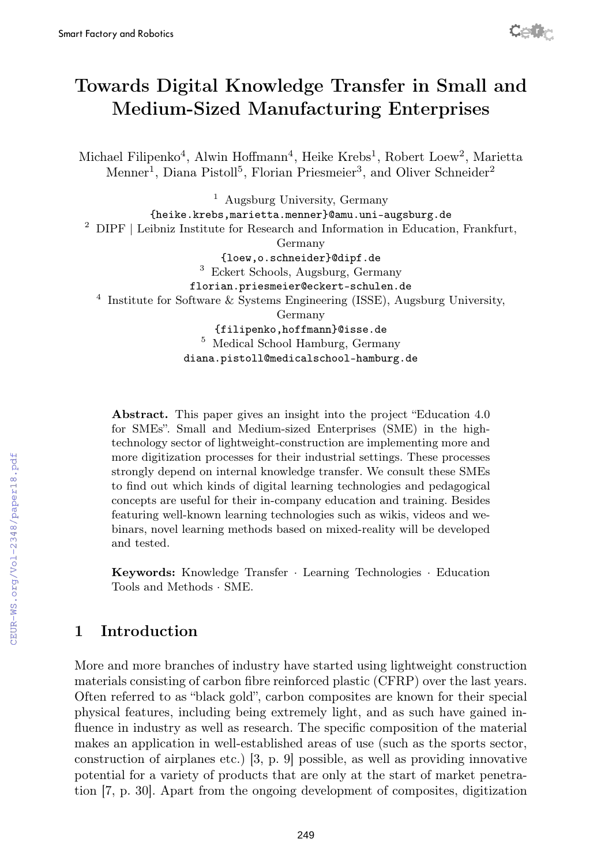# Towards Digital Knowledge Transfer in Small and Medium-Sized Manufacturing Enterprises

Michael Filipenko<sup>4</sup>, Alwin Hoffmann<sup>4</sup>, Heike Krebs<sup>1</sup>, Robert Loew<sup>2</sup>, Marietta Menner<sup>1</sup>, Diana Pistoll<sup>5</sup>, Florian Priesmeier<sup>3</sup>, and Oliver Schneider<sup>2</sup>

<sup>1</sup> Augsburg University, Germany {heike.krebs,marietta.menner}@amu.uni-augsburg.de <sup>2</sup> DIPF | Leibniz Institute for Research and Information in Education, Frankfurt, Germany {loew,o.schneider}@dipf.de 3 Eckert Schools, Augsburg, Germany florian.priesmeier@eckert-schulen.de 4 Institute for Software & Systems Engineering (ISSE), Augsburg University, Germany {filipenko,hoffmann}@isse.de <sup>5</sup> Medical School Hamburg, Germany diana.pistoll@medicalschool-hamburg.de

Abstract. This paper gives an insight into the project "Education 4.0 for SMEs". Small and Medium-sized Enterprises (SME) in the hightechnology sector of lightweight-construction are implementing more and more digitization processes for their industrial settings. These processes strongly depend on internal knowledge transfer. We consult these SMEs to find out which kinds of digital learning technologies and pedagogical concepts are useful for their in-company education and training. Besides featuring well-known learning technologies such as wikis, videos and webinars, novel learning methods based on mixed-reality will be developed and tested.

Keywords: Knowledge Transfer · Learning Technologies · Education Tools and Methods · SME.

# 1 Introduction

More and more branches of industry have started using lightweight construction materials consisting of carbon fibre reinforced plastic (CFRP) over the last years. Often referred to as "black gold", carbon composites are known for their special physical features, including being extremely light, and as such have gained influence in industry as well as research. The specific composition of the material makes an application in well-established areas of use (such as the sports sector, construction of airplanes etc.) [3, p. 9] possible, as well as providing innovative potential for a variety of products that are only at the start of market penetration [7, p. 30]. Apart from the ongoing development of composites, digitization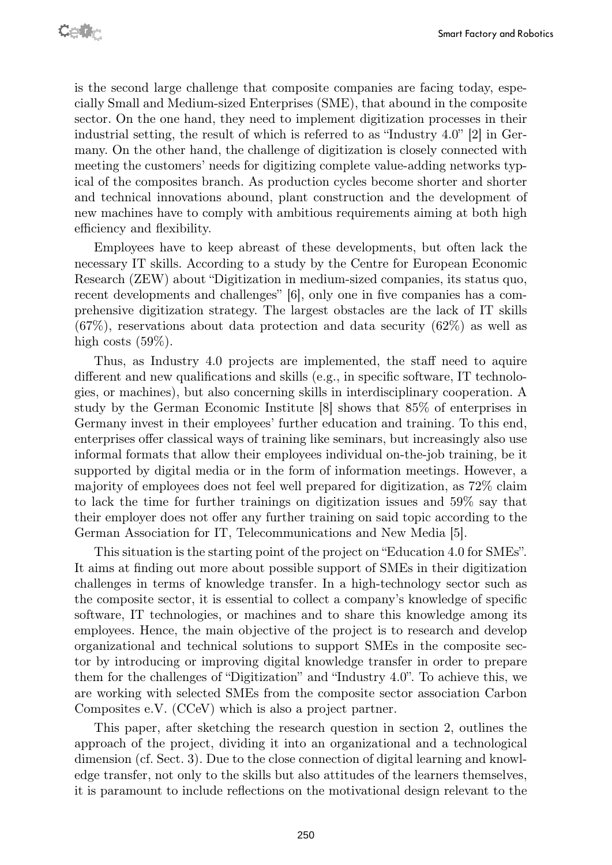is the second large challenge that composite companies are facing today, especially Small and Medium-sized Enterprises (SME), that abound in the composite sector. On the one hand, they need to implement digitization processes in their industrial setting, the result of which is referred to as "Industry 4.0" [2] in Germany. On the other hand, the challenge of digitization is closely connected with meeting the customers' needs for digitizing complete value-adding networks typical of the composites branch. As production cycles become shorter and shorter and technical innovations abound, plant construction and the development of new machines have to comply with ambitious requirements aiming at both high efficiency and flexibility.

Employees have to keep abreast of these developments, but often lack the necessary IT skills. According to a study by the Centre for European Economic Research (ZEW) about "Digitization in medium-sized companies, its status quo, recent developments and challenges" [6], only one in five companies has a comprehensive digitization strategy. The largest obstacles are the lack of IT skills  $(67\%)$ , reservations about data protection and data security  $(62\%)$  as well as high costs  $(59\%).$ 

Thus, as Industry 4.0 projects are implemented, the staff need to aquire different and new qualifications and skills (e.g., in specific software, IT technologies, or machines), but also concerning skills in interdisciplinary cooperation. A study by the German Economic Institute [8] shows that 85% of enterprises in Germany invest in their employees' further education and training. To this end, enterprises offer classical ways of training like seminars, but increasingly also use informal formats that allow their employees individual on-the-job training, be it supported by digital media or in the form of information meetings. However, a majority of employees does not feel well prepared for digitization, as 72% claim to lack the time for further trainings on digitization issues and 59% say that their employer does not offer any further training on said topic according to the German Association for IT, Telecommunications and New Media [5].

This situation is the starting point of the project on "Education 4.0 for SMEs". It aims at finding out more about possible support of SMEs in their digitization challenges in terms of knowledge transfer. In a high-technology sector such as the composite sector, it is essential to collect a company's knowledge of specific software, IT technologies, or machines and to share this knowledge among its employees. Hence, the main objective of the project is to research and develop organizational and technical solutions to support SMEs in the composite sector by introducing or improving digital knowledge transfer in order to prepare them for the challenges of "Digitization" and "Industry 4.0". To achieve this, we are working with selected SMEs from the composite sector association Carbon Composites e.V. (CCeV) which is also a project partner.

This paper, after sketching the research question in section 2, outlines the approach of the project, dividing it into an organizational and a technological dimension (cf. Sect. 3). Due to the close connection of digital learning and knowledge transfer, not only to the skills but also attitudes of the learners themselves, it is paramount to include reflections on the motivational design relevant to the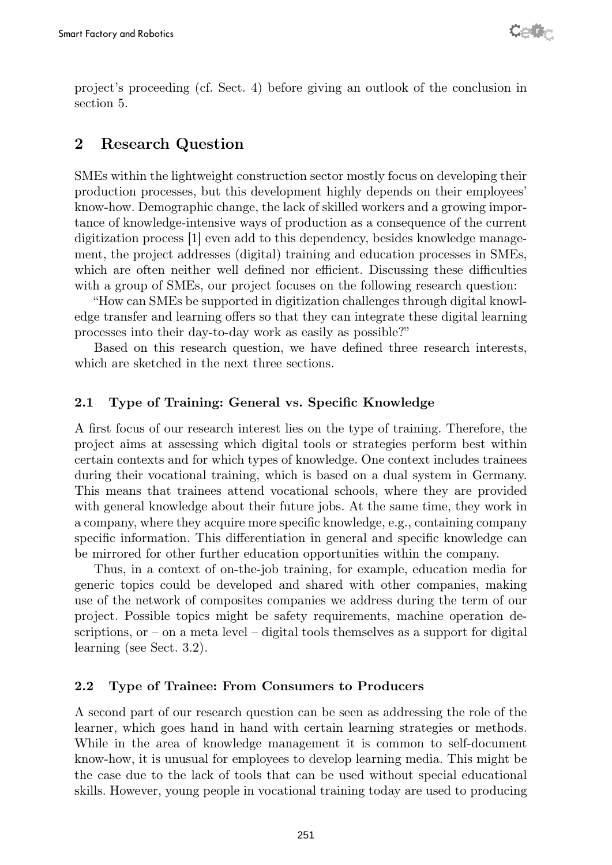project's proceeding (cf. Sect. 4) before giving an outlook of the conclusion in section 5.

# 2 Research Question

SMEs within the lightweight construction sector mostly focus on developing their production processes, but this development highly depends on their employees' know-how. Demographic change, the lack of skilled workers and a growing importance of knowledge-intensive ways of production as a consequence of the current digitization process [1] even add to this dependency, besides knowledge management, the project addresses (digital) training and education processes in SMEs, which are often neither well defined nor efficient. Discussing these difficulties with a group of SMEs, our project focuses on the following research question:

"How can SMEs be supported in digitization challenges through digital knowledge transfer and learning offers so that they can integrate these digital learning processes into their day-to-day work as easily as possible?"

Based on this research question, we have defined three research interests, which are sketched in the next three sections.

#### 2.1 Type of Training: General vs. Specific Knowledge

A first focus of our research interest lies on the type of training. Therefore, the project aims at assessing which digital tools or strategies perform best within certain contexts and for which types of knowledge. One context includes trainees during their vocational training, which is based on a dual system in Germany. This means that trainees attend vocational schools, where they are provided with general knowledge about their future jobs. At the same time, they work in a company, where they acquire more specific knowledge, e.g., containing company specific information. This differentiation in general and specific knowledge can be mirrored for other further education opportunities within the company.

Thus, in a context of on-the-job training, for example, education media for generic topics could be developed and shared with other companies, making use of the network of composites companies we address during the term of our project. Possible topics might be safety requirements, machine operation descriptions, or – on a meta level – digital tools themselves as a support for digital learning (see Sect. 3.2).

#### 2.2 Type of Trainee: From Consumers to Producers

A second part of our research question can be seen as addressing the role of the learner, which goes hand in hand with certain learning strategies or methods. While in the area of knowledge management it is common to self-document know-how, it is unusual for employees to develop learning media. This might be the case due to the lack of tools that can be used without special educational skills. However, young people in vocational training today are used to producing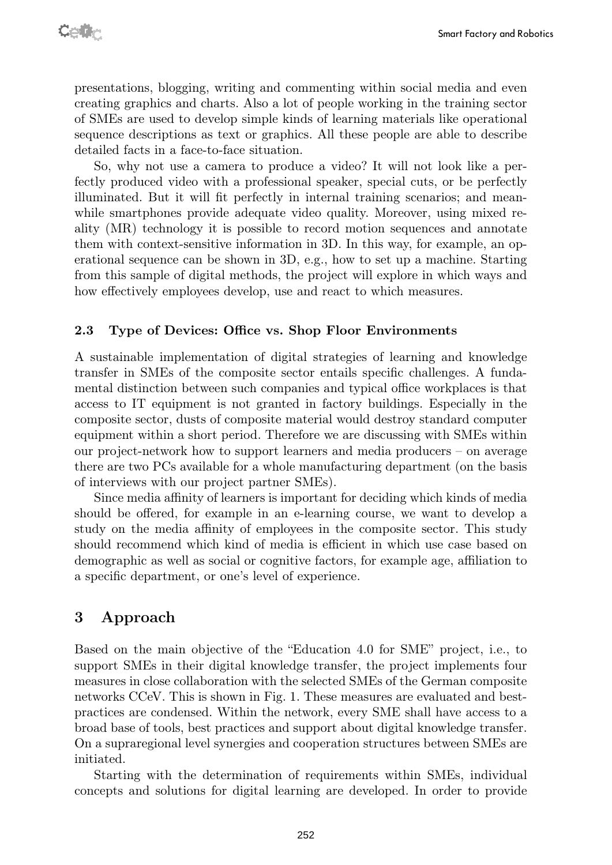presentations, blogging, writing and commenting within social media and even creating graphics and charts. Also a lot of people working in the training sector of SMEs are used to develop simple kinds of learning materials like operational sequence descriptions as text or graphics. All these people are able to describe detailed facts in a face-to-face situation.

So, why not use a camera to produce a video? It will not look like a perfectly produced video with a professional speaker, special cuts, or be perfectly illuminated. But it will fit perfectly in internal training scenarios; and meanwhile smartphones provide adequate video quality. Moreover, using mixed reality (MR) technology it is possible to record motion sequences and annotate them with context-sensitive information in 3D. In this way, for example, an operational sequence can be shown in 3D, e.g., how to set up a machine. Starting from this sample of digital methods, the project will explore in which ways and how effectively employees develop, use and react to which measures.

#### 2.3 Type of Devices: Office vs. Shop Floor Environments

A sustainable implementation of digital strategies of learning and knowledge transfer in SMEs of the composite sector entails specific challenges. A fundamental distinction between such companies and typical office workplaces is that access to IT equipment is not granted in factory buildings. Especially in the composite sector, dusts of composite material would destroy standard computer equipment within a short period. Therefore we are discussing with SMEs within our project-network how to support learners and media producers – on average there are two PCs available for a whole manufacturing department (on the basis of interviews with our project partner SMEs).

Since media affinity of learners is important for deciding which kinds of media should be offered, for example in an e-learning course, we want to develop a study on the media affinity of employees in the composite sector. This study should recommend which kind of media is efficient in which use case based on demographic as well as social or cognitive factors, for example age, affiliation to a specific department, or one's level of experience.

### 3 Approach

Based on the main objective of the "Education 4.0 for SME" project, i.e., to support SMEs in their digital knowledge transfer, the project implements four measures in close collaboration with the selected SMEs of the German composite networks CCeV. This is shown in Fig. 1. These measures are evaluated and bestpractices are condensed. Within the network, every SME shall have access to a broad base of tools, best practices and support about digital knowledge transfer. On a supraregional level synergies and cooperation structures between SMEs are initiated.

Starting with the determination of requirements within SMEs, individual concepts and solutions for digital learning are developed. In order to provide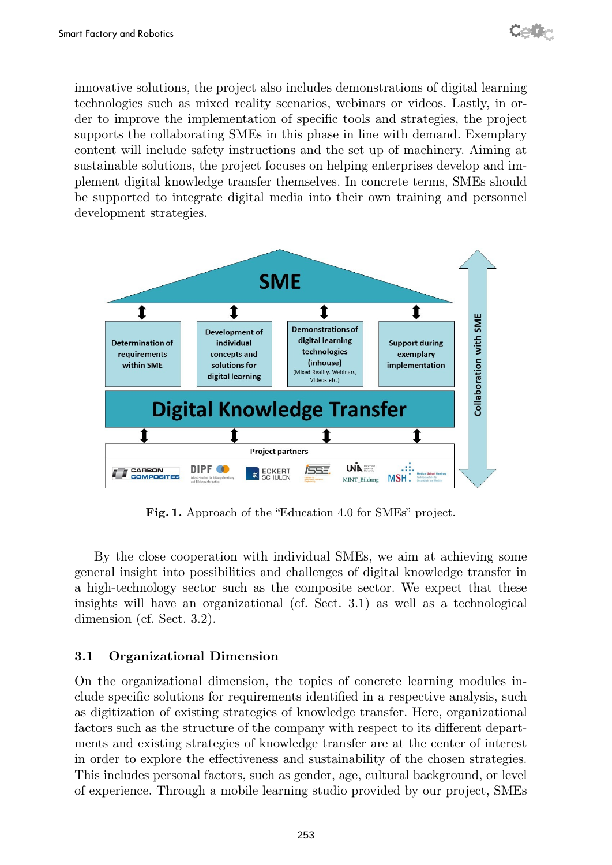innovative solutions, the project also includes demonstrations of digital learning technologies such as mixed reality scenarios, webinars or videos. Lastly, in order to improve the implementation of specific tools and strategies, the project supports the collaborating SMEs in this phase in line with demand. Exemplary content will include safety instructions and the set up of machinery. Aiming at sustainable solutions, the project focuses on helping enterprises develop and implement digital knowledge transfer themselves. In concrete terms, SMEs should be supported to integrate digital media into their own training and personnel development strategies.



Fig. 1. Approach of the "Education 4.0 for SMEs" project.

By the close cooperation with individual SMEs, we aim at achieving some general insight into possibilities and challenges of digital knowledge transfer in a high-technology sector such as the composite sector. We expect that these insights will have an organizational (cf. Sect. 3.1) as well as a technological dimension (cf. Sect. 3.2).

#### 3.1 Organizational Dimension

On the organizational dimension, the topics of concrete learning modules include specific solutions for requirements identified in a respective analysis, such as digitization of existing strategies of knowledge transfer. Here, organizational factors such as the structure of the company with respect to its different departments and existing strategies of knowledge transfer are at the center of interest in order to explore the effectiveness and sustainability of the chosen strategies. This includes personal factors, such as gender, age, cultural background, or level of experience. Through a mobile learning studio provided by our project, SMEs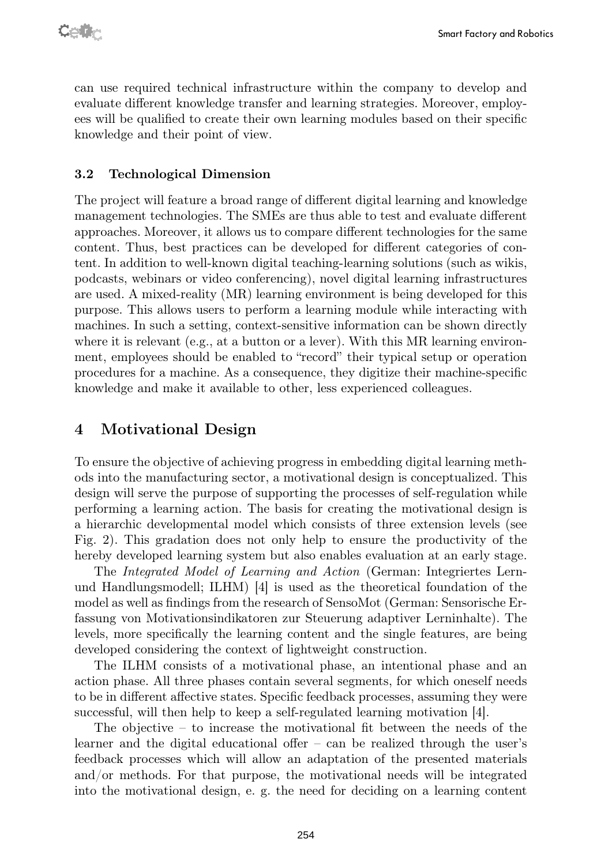can use required technical infrastructure within the company to develop and evaluate different knowledge transfer and learning strategies. Moreover, employees will be qualified to create their own learning modules based on their specific knowledge and their point of view.

#### 3.2 Technological Dimension

The project will feature a broad range of different digital learning and knowledge management technologies. The SMEs are thus able to test and evaluate different approaches. Moreover, it allows us to compare different technologies for the same content. Thus, best practices can be developed for different categories of content. In addition to well-known digital teaching-learning solutions (such as wikis, podcasts, webinars or video conferencing), novel digital learning infrastructures are used. A mixed-reality (MR) learning environment is being developed for this purpose. This allows users to perform a learning module while interacting with machines. In such a setting, context-sensitive information can be shown directly where it is relevant (e.g., at a button or a lever). With this MR learning environment, employees should be enabled to "record" their typical setup or operation procedures for a machine. As a consequence, they digitize their machine-specific knowledge and make it available to other, less experienced colleagues.

#### 4 Motivational Design

To ensure the objective of achieving progress in embedding digital learning methods into the manufacturing sector, a motivational design is conceptualized. This design will serve the purpose of supporting the processes of self-regulation while performing a learning action. The basis for creating the motivational design is a hierarchic developmental model which consists of three extension levels (see Fig. 2). This gradation does not only help to ensure the productivity of the hereby developed learning system but also enables evaluation at an early stage.

The Integrated Model of Learning and Action (German: Integriertes Lernund Handlungsmodell; ILHM)  $|4|$  is used as the theoretical foundation of the model as well as findings from the research of SensoMot (German: Sensorische Erfassung von Motivationsindikatoren zur Steuerung adaptiver Lerninhalte). The levels, more specifically the learning content and the single features, are being developed considering the context of lightweight construction.

The ILHM consists of a motivational phase, an intentional phase and an action phase. All three phases contain several segments, for which oneself needs to be in different affective states. Specific feedback processes, assuming they were successful, will then help to keep a self-regulated learning motivation [4].

The objective – to increase the motivational fit between the needs of the learner and the digital educational offer – can be realized through the user's feedback processes which will allow an adaptation of the presented materials and/or methods. For that purpose, the motivational needs will be integrated into the motivational design, e. g. the need for deciding on a learning content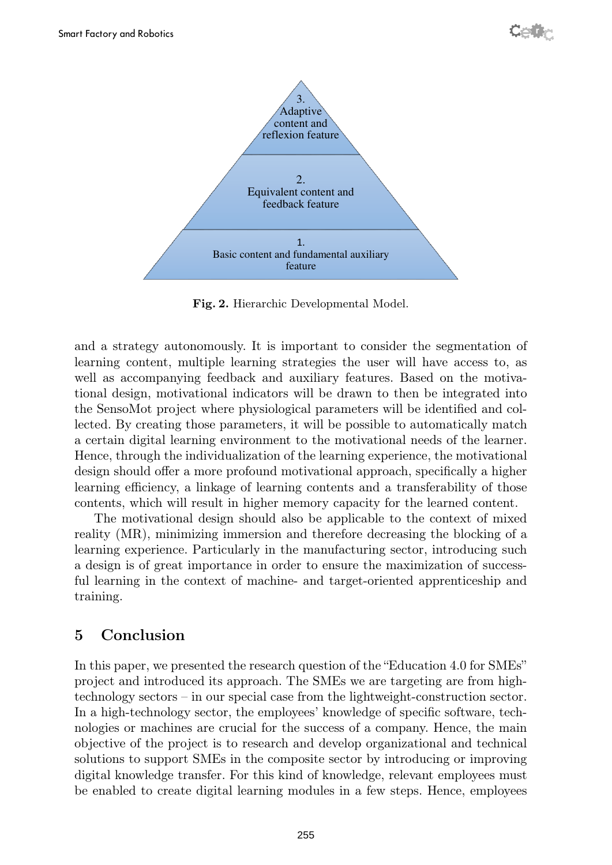

Fig. 2. Hierarchic Developmental Model.

and a strategy autonomously. It is important to consider the segmentation of learning content, multiple learning strategies the user will have access to, as well as accompanying feedback and auxiliary features. Based on the motivational design, motivational indicators will be drawn to then be integrated into the SensoMot project where physiological parameters will be identified and collected. By creating those parameters, it will be possible to automatically match a certain digital learning environment to the motivational needs of the learner. Hence, through the individualization of the learning experience, the motivational design should offer a more profound motivational approach, specifically a higher learning efficiency, a linkage of learning contents and a transferability of those contents, which will result in higher memory capacity for the learned content.

The motivational design should also be applicable to the context of mixed reality (MR), minimizing immersion and therefore decreasing the blocking of a learning experience. Particularly in the manufacturing sector, introducing such a design is of great importance in order to ensure the maximization of successful learning in the context of machine- and target-oriented apprenticeship and training.

### 5 Conclusion

In this paper, we presented the research question of the "Education 4.0 for SMEs" project and introduced its approach. The SMEs we are targeting are from hightechnology sectors – in our special case from the lightweight-construction sector. In a high-technology sector, the employees' knowledge of specific software, technologies or machines are crucial for the success of a company. Hence, the main objective of the project is to research and develop organizational and technical solutions to support SMEs in the composite sector by introducing or improving digital knowledge transfer. For this kind of knowledge, relevant employees must be enabled to create digital learning modules in a few steps. Hence, employees